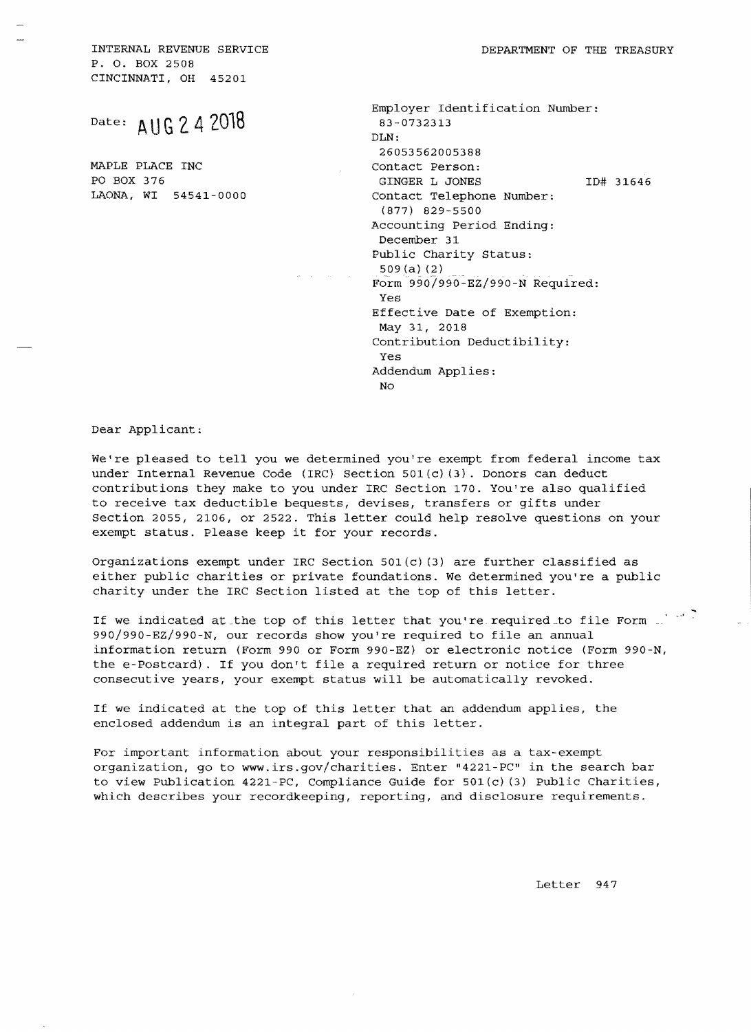INTERNAL REVENUE SERVICE **All all all of the SERVICE** behavior of the Treasury P. O. BOX 2508 CINCINNATI, OH 45201

MAPLE PLACE INC Contact Person:

Employer Identification Number: DLN: 26053562005388 PO BOX 376 GINGER L JONES 1D# 31646<br>LAONA, WI 54541-0000 Contact Telephone Number: Contact Telephone Number: (877) 829-5500 Accounting Period Ending: December 31 Public Charity Status: 509{a} {2} Form 990/990-EZ/990-N Required: Yes Effective Date of Exemption: May 31, 2018 Contribution Deductibility: Yes Addendum Applies: No

## Dear Applicant:

We're pleased to tell you we determined you're exempt from federal income tax under Internal Revenue Code (IRC) Section 501(c} (3). Donors can deduct contributions they make to you under IRC Section 170. You're also qualified to receive tax deductible bequests, devises, transfers or gifts under Section 2055, 2106, or 2522. This letter could help resolve questions on your exempt status. Please keep it for your records.

Organizations exempt under IRC Section 501(c)(3) are further classified as either public charities or private foundations. We determined you're a public charity under the IRC Section listed at the top of this letter.

If we indicated at the top of this letter that you're required to file Form  $\frac{1}{2}$ 990/990-EZ/990-N, our records show you're required to file an annual information return (Form 990 or Form 990-EZ) or electronic notice (Form 990-N, the e-Postcard). If you don't file a required return or notice for three consecutive years, your exempt status will be automatically revoked.

If we indicated at the top of this letter that an addendum applies, the enclosed addendum is an integral part of this letter.

For important information about your responsibilities as a tax-exempt organization, go to www.irs.gov/charities. Enter "4221-PC" in the search bar to view Publication 4221-PC, Compliance Guide for  $501(c)$  (3) Public Charities, which describes your recordkeeping, reporting, and disclosure requirements.

Letter 947